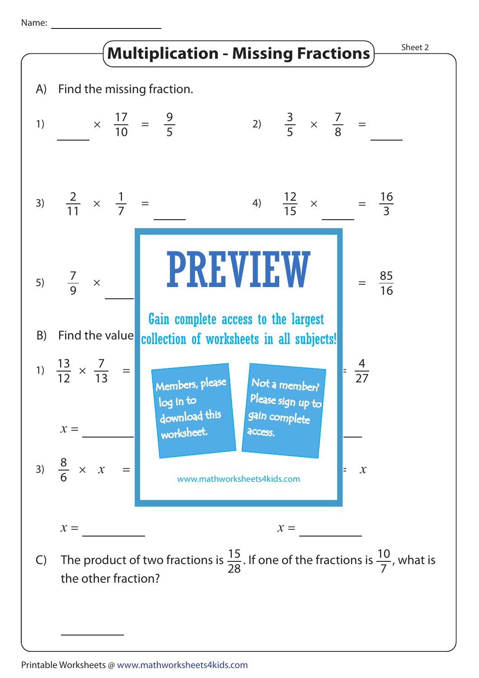Name: